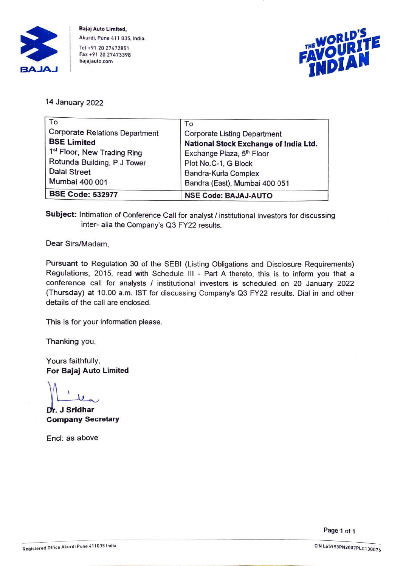

Bajaj Auto Limited, Akurdi, Pune 411 035, India. Tel +91 20 27472851 Fax +91 20 27473398 bajajauto.com



14 January 2022

| To                                      | To                                    |
|-----------------------------------------|---------------------------------------|
| <b>Corporate Relations Department</b>   | <b>Corporate Listing Department</b>   |
| <b>BSE Limited</b>                      | National Stock Exchange of India Ltd. |
| 1 <sup>st</sup> Floor, New Trading Ring | Exchange Plaza, 5 <sup>th</sup> Floor |
| Rotunda Building, P J Tower             | Plot No.C-1, G Block                  |
| <b>Dalal Street</b>                     | Bandra-Kurla Complex                  |
| Mumbai 400 001                          | Bandra (East), Mumbai 400 051         |
| <b>BSE Code: 532977</b>                 | <b>NSE Code: BAJAJ-AUTO</b>           |

Subject: Intimation of Conference Call for analyst / institutional investors for discussing inter- alia the Company's Q3 FY22 results.

Dear Sirs/Madam,

Pursuant to Regulation 30 of the SEBI (Listing Obligations and Disclosure Requirements) Regulations, 2015, read with Schedule III - Part A thereto, this is to inform you that a conference call for analysts / institutional investors is scheduled on 20 January 2022 (Thursday) at 10.00 a.m. IST for discussing Company's Q3 FY22 results. Dial in and other details of the call are enclosed.

This is for your infomation please.

Thanking you,

Yours faithfully, For Bajaj Auto Limited

Dr. J Sridhar Company Secretary

Encl: as above

Page 1 of 1